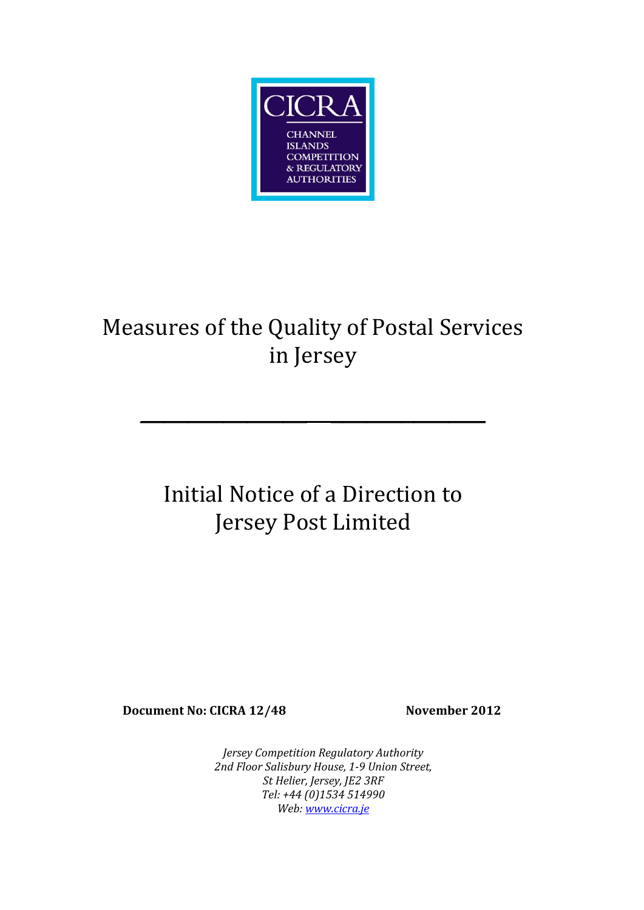

# Measures of the Quality of Postal Services in Jersey

**\_\_\_\_\_\_\_\_\_\_\_\_\_\_ \_\_\_\_\_\_\_\_\_\_\_\_\_**

# Initial Notice of a Direction to Jersey Post Limited

**Document No: CICRA 12/48 November 2012**

*Jersey Competition Regulatory Authority 2nd Floor Salisbury House, 1-9 Union Street, St Helier, Jersey, JE2 3RF Tel: +44 (0)1534 514990 Web: [www.cicra.je](http://www.cicra.je/)*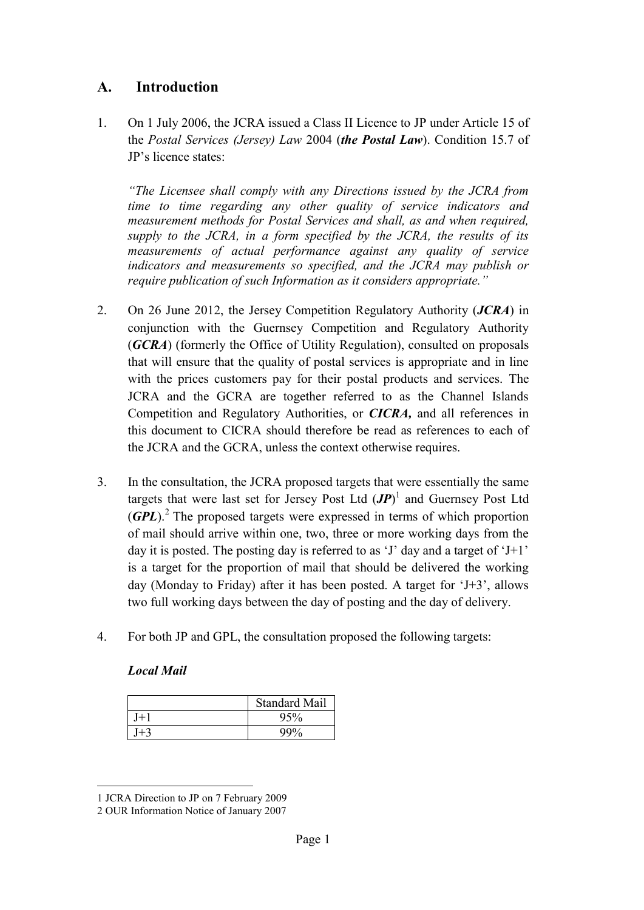# **A. Introduction**

1. On 1 July 2006, the JCRA issued a Class II Licence to JP under Article 15 of the *Postal Services (Jersey) Law* 2004 (*the Postal Law*). Condition 15.7 of JP's licence states:

*"The Licensee shall comply with any Directions issued by the JCRA from time to time regarding any other quality of service indicators and measurement methods for Postal Services and shall, as and when required, supply to the JCRA, in a form specified by the JCRA, the results of its measurements of actual performance against any quality of service indicators and measurements so specified, and the JCRA may publish or require publication of such Information as it considers appropriate."*

- 2. On 26 June 2012, the Jersey Competition Regulatory Authority (*JCRA*) in conjunction with the Guernsey Competition and Regulatory Authority (*GCRA*) (formerly the Office of Utility Regulation), consulted on proposals that will ensure that the quality of postal services is appropriate and in line with the prices customers pay for their postal products and services. The JCRA and the GCRA are together referred to as the Channel Islands Competition and Regulatory Authorities, or *CICRA,* and all references in this document to CICRA should therefore be read as references to each of the JCRA and the GCRA, unless the context otherwise requires.
- 3. In the consultation, the JCRA proposed targets that were essentially the same targets that were last set for Jersey Post Ltd  $(JP)^{1}$  and Guernsey Post Ltd (**GPL**).<sup>2</sup> The proposed targets were expressed in terms of which proportion of mail should arrive within one, two, three or more working days from the day it is posted. The posting day is referred to as 'J' day and a target of 'J+1' is a target for the proportion of mail that should be delivered the working day (Monday to Friday) after it has been posted. A target for 'J+3', allows two full working days between the day of posting and the day of delivery.
- 4. For both JP and GPL, the consultation proposed the following targets:

| <b>Local Mail</b> |  |
|-------------------|--|
|                   |  |

| <b>Standard Mail</b> |
|----------------------|
| 95%                  |
| QQ0/                 |

 $\overline{a}$ 1 JCRA Direction to JP on 7 February 2009

<sup>2</sup> OUR Information Notice of January 2007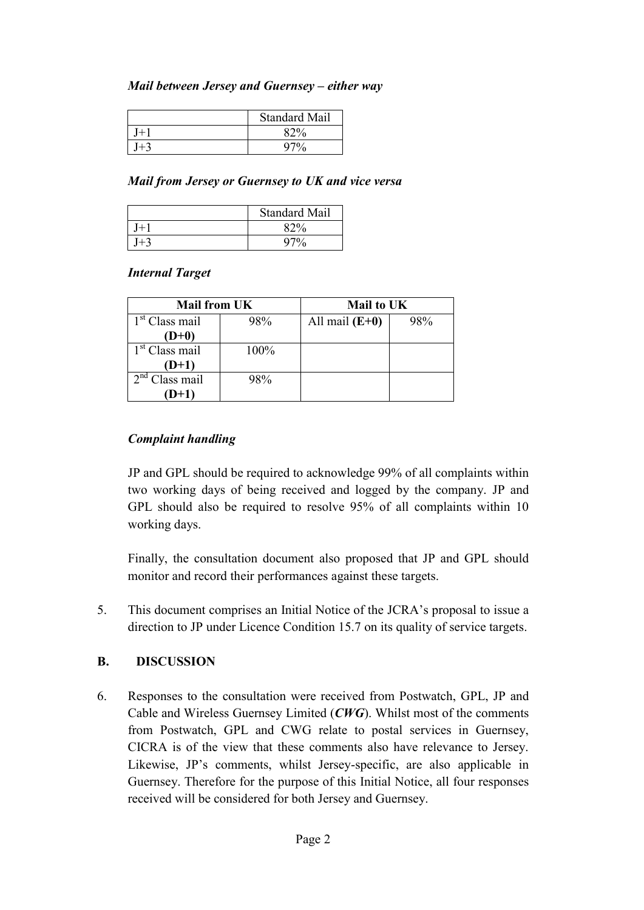#### *Mail between Jersey and Guernsey – either way*

| <b>Standard Mail</b> |
|----------------------|
| 82%                  |
| 97%                  |

#### *Mail from Jersey or Guernsey to UK and vice versa*

| <b>Standard Mail</b> |
|----------------------|
| $x^{20/2}$           |
| u70∕                 |

#### *Internal Target*

| <b>Mail from UK</b> |      | <b>Mail to UK</b> |     |
|---------------------|------|-------------------|-----|
| $1st$ Class mail    | 98%  | All mail $(E+0)$  | 98% |
| $(D+0)$             |      |                   |     |
| $1st$ Class mail    | 100% |                   |     |
| $(D+1)$             |      |                   |     |
| $2nd$ Class mail    | 98%  |                   |     |
| (D+1)               |      |                   |     |

#### *Complaint handling*

JP and GPL should be required to acknowledge 99% of all complaints within two working days of being received and logged by the company. JP and GPL should also be required to resolve 95% of all complaints within 10 working days.

Finally, the consultation document also proposed that JP and GPL should monitor and record their performances against these targets.

5. This document comprises an Initial Notice of the JCRA's proposal to issue a direction to JP under Licence Condition 15.7 on its quality of service targets.

#### **B. DISCUSSION**

6. Responses to the consultation were received from Postwatch, GPL, JP and Cable and Wireless Guernsey Limited (*CWG*). Whilst most of the comments from Postwatch, GPL and CWG relate to postal services in Guernsey, CICRA is of the view that these comments also have relevance to Jersey. Likewise, JP's comments, whilst Jersey-specific, are also applicable in Guernsey. Therefore for the purpose of this Initial Notice, all four responses received will be considered for both Jersey and Guernsey.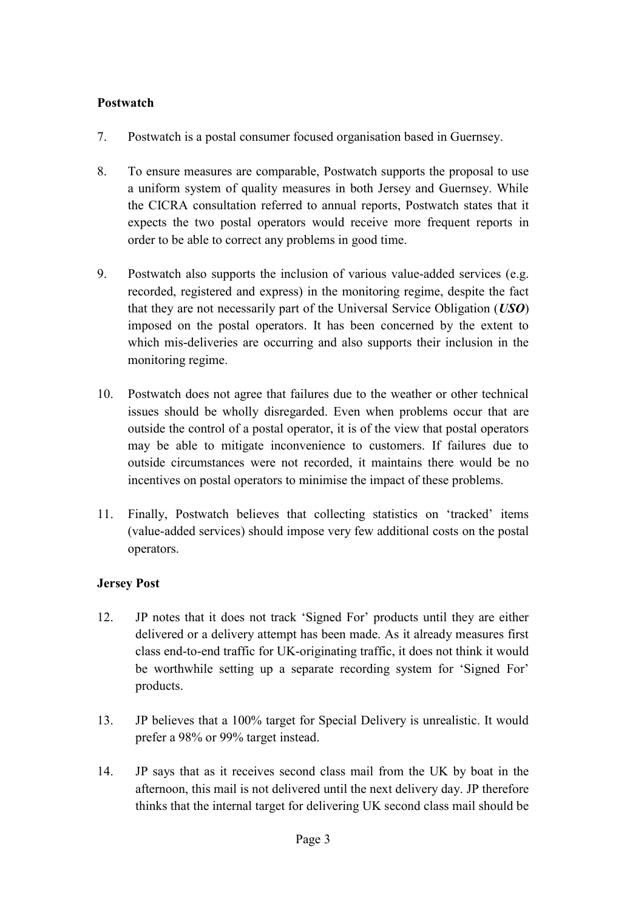#### **Postwatch**

- 7. Postwatch is a postal consumer focused organisation based in Guernsey.
- 8. To ensure measures are comparable, Postwatch supports the proposal to use a uniform system of quality measures in both Jersey and Guernsey. While the CICRA consultation referred to annual reports, Postwatch states that it expects the two postal operators would receive more frequent reports in order to be able to correct any problems in good time.
- 9. Postwatch also supports the inclusion of various value-added services (e.g. recorded, registered and express) in the monitoring regime, despite the fact that they are not necessarily part of the Universal Service Obligation (*USO*) imposed on the postal operators. It has been concerned by the extent to which mis-deliveries are occurring and also supports their inclusion in the monitoring regime.
- 10. Postwatch does not agree that failures due to the weather or other technical issues should be wholly disregarded. Even when problems occur that are outside the control of a postal operator, it is of the view that postal operators may be able to mitigate inconvenience to customers. If failures due to outside circumstances were not recorded, it maintains there would be no incentives on postal operators to minimise the impact of these problems.
- 11. Finally, Postwatch believes that collecting statistics on 'tracked' items (value-added services) should impose very few additional costs on the postal operators.

## **Jersey Post**

- 12. JP notes that it does not track 'Signed For' products until they are either delivered or a delivery attempt has been made. As it already measures first class end-to-end traffic for UK-originating traffic, it does not think it would be worthwhile setting up a separate recording system for 'Signed For' products.
- 13. JP believes that a 100% target for Special Delivery is unrealistic. It would prefer a 98% or 99% target instead.
- 14. JP says that as it receives second class mail from the UK by boat in the afternoon, this mail is not delivered until the next delivery day. JP therefore thinks that the internal target for delivering UK second class mail should be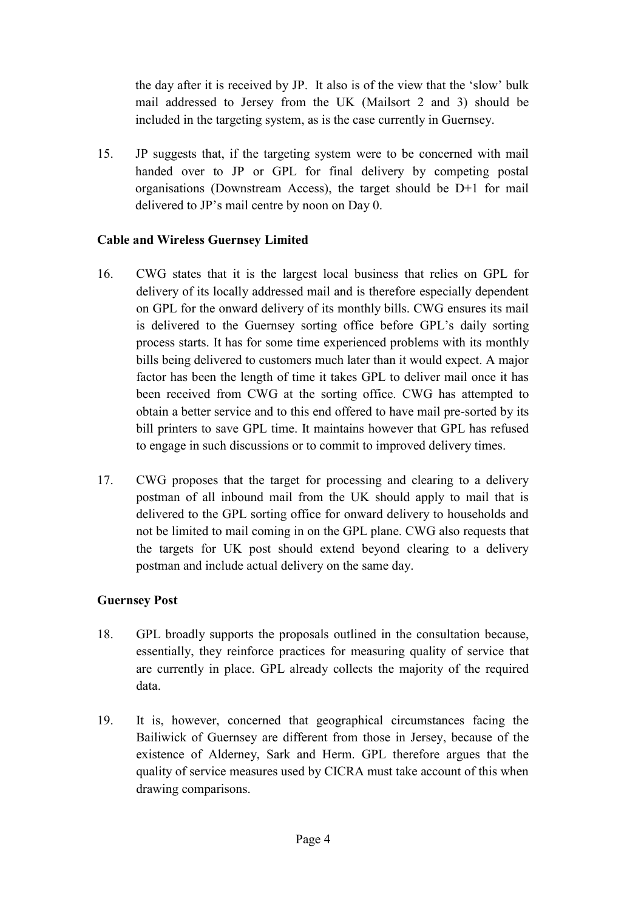the day after it is received by JP. It also is of the view that the 'slow' bulk mail addressed to Jersey from the UK (Mailsort 2 and 3) should be included in the targeting system, as is the case currently in Guernsey.

15. JP suggests that, if the targeting system were to be concerned with mail handed over to JP or GPL for final delivery by competing postal organisations (Downstream Access), the target should be D+1 for mail delivered to JP's mail centre by noon on Day 0.

#### **Cable and Wireless Guernsey Limited**

- 16. CWG states that it is the largest local business that relies on GPL for delivery of its locally addressed mail and is therefore especially dependent on GPL for the onward delivery of its monthly bills. CWG ensures its mail is delivered to the Guernsey sorting office before GPL's daily sorting process starts. It has for some time experienced problems with its monthly bills being delivered to customers much later than it would expect. A major factor has been the length of time it takes GPL to deliver mail once it has been received from CWG at the sorting office. CWG has attempted to obtain a better service and to this end offered to have mail pre-sorted by its bill printers to save GPL time. It maintains however that GPL has refused to engage in such discussions or to commit to improved delivery times.
- 17. CWG proposes that the target for processing and clearing to a delivery postman of all inbound mail from the UK should apply to mail that is delivered to the GPL sorting office for onward delivery to households and not be limited to mail coming in on the GPL plane. CWG also requests that the targets for UK post should extend beyond clearing to a delivery postman and include actual delivery on the same day.

#### **Guernsey Post**

- 18. GPL broadly supports the proposals outlined in the consultation because, essentially, they reinforce practices for measuring quality of service that are currently in place. GPL already collects the majority of the required data.
- 19. It is, however, concerned that geographical circumstances facing the Bailiwick of Guernsey are different from those in Jersey, because of the existence of Alderney, Sark and Herm. GPL therefore argues that the quality of service measures used by CICRA must take account of this when drawing comparisons.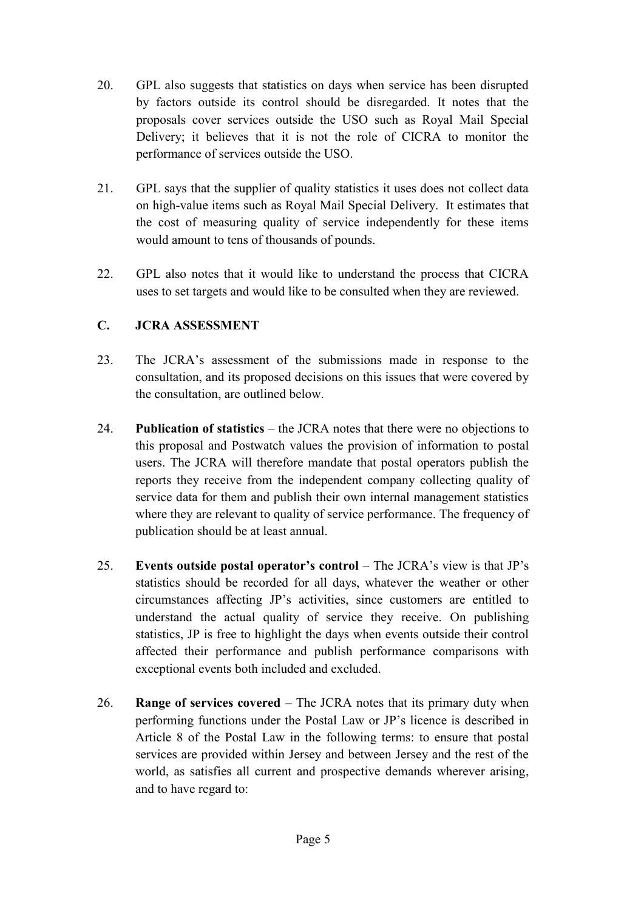- 20. GPL also suggests that statistics on days when service has been disrupted by factors outside its control should be disregarded. It notes that the proposals cover services outside the USO such as Royal Mail Special Delivery; it believes that it is not the role of CICRA to monitor the performance of services outside the USO.
- 21. GPL says that the supplier of quality statistics it uses does not collect data on high-value items such as Royal Mail Special Delivery. It estimates that the cost of measuring quality of service independently for these items would amount to tens of thousands of pounds.
- 22. GPL also notes that it would like to understand the process that CICRA uses to set targets and would like to be consulted when they are reviewed.

## **C. JCRA ASSESSMENT**

- 23. The JCRA's assessment of the submissions made in response to the consultation, and its proposed decisions on this issues that were covered by the consultation, are outlined below.
- 24. **Publication of statistics** the JCRA notes that there were no objections to this proposal and Postwatch values the provision of information to postal users. The JCRA will therefore mandate that postal operators publish the reports they receive from the independent company collecting quality of service data for them and publish their own internal management statistics where they are relevant to quality of service performance. The frequency of publication should be at least annual.
- 25. **Events outside postal operator's control** The JCRA's view is that JP's statistics should be recorded for all days, whatever the weather or other circumstances affecting JP's activities, since customers are entitled to understand the actual quality of service they receive. On publishing statistics, JP is free to highlight the days when events outside their control affected their performance and publish performance comparisons with exceptional events both included and excluded.
- 26. **Range of services covered** The JCRA notes that its primary duty when performing functions under the Postal Law or JP's licence is described in Article 8 of the Postal Law in the following terms: to ensure that postal services are provided within Jersey and between Jersey and the rest of the world, as satisfies all current and prospective demands wherever arising, and to have regard to: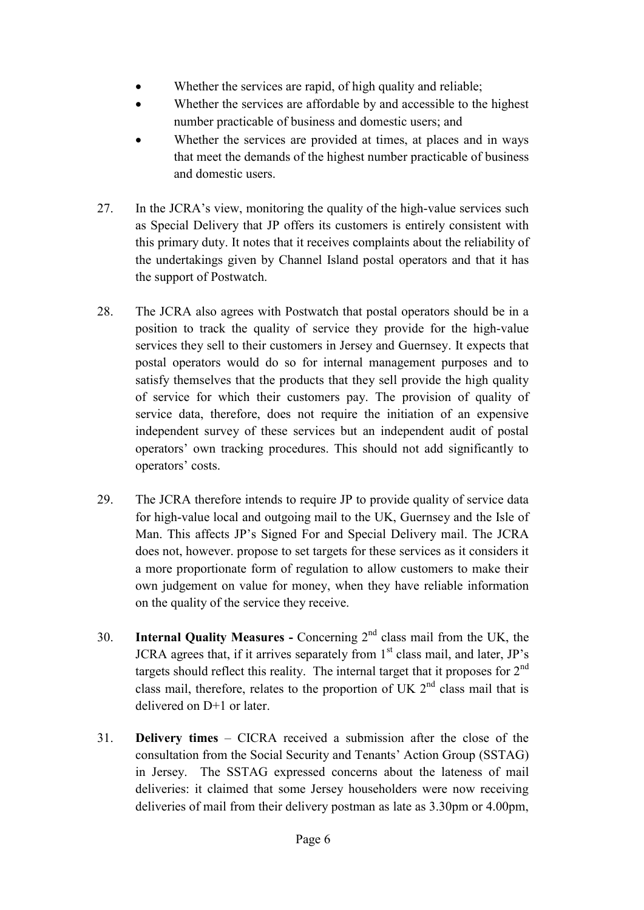- Whether the services are rapid, of high quality and reliable;
- Whether the services are affordable by and accessible to the highest number practicable of business and domestic users; and
- Whether the services are provided at times, at places and in ways that meet the demands of the highest number practicable of business and domestic users.
- 27. In the JCRA's view, monitoring the quality of the high-value services such as Special Delivery that JP offers its customers is entirely consistent with this primary duty. It notes that it receives complaints about the reliability of the undertakings given by Channel Island postal operators and that it has the support of Postwatch.
- 28. The JCRA also agrees with Postwatch that postal operators should be in a position to track the quality of service they provide for the high-value services they sell to their customers in Jersey and Guernsey. It expects that postal operators would do so for internal management purposes and to satisfy themselves that the products that they sell provide the high quality of service for which their customers pay. The provision of quality of service data, therefore, does not require the initiation of an expensive independent survey of these services but an independent audit of postal operators' own tracking procedures. This should not add significantly to operators' costs.
- 29. The JCRA therefore intends to require JP to provide quality of service data for high-value local and outgoing mail to the UK, Guernsey and the Isle of Man. This affects JP's Signed For and Special Delivery mail. The JCRA does not, however. propose to set targets for these services as it considers it a more proportionate form of regulation to allow customers to make their own judgement on value for money, when they have reliable information on the quality of the service they receive.
- 30. **Internal Quality Measures -** Concerning 2nd class mail from the UK, the JCRA agrees that, if it arrives separately from  $1<sup>st</sup>$  class mail, and later, JP's targets should reflect this reality. The internal target that it proposes for  $2<sup>nd</sup>$ class mail, therefore, relates to the proportion of UK  $2<sup>nd</sup>$  class mail that is delivered on D+1 or later.
- 31. **Delivery times** CICRA received a submission after the close of the consultation from the Social Security and Tenants' Action Group (SSTAG) in Jersey. The SSTAG expressed concerns about the lateness of mail deliveries: it claimed that some Jersey householders were now receiving deliveries of mail from their delivery postman as late as 3.30pm or 4.00pm,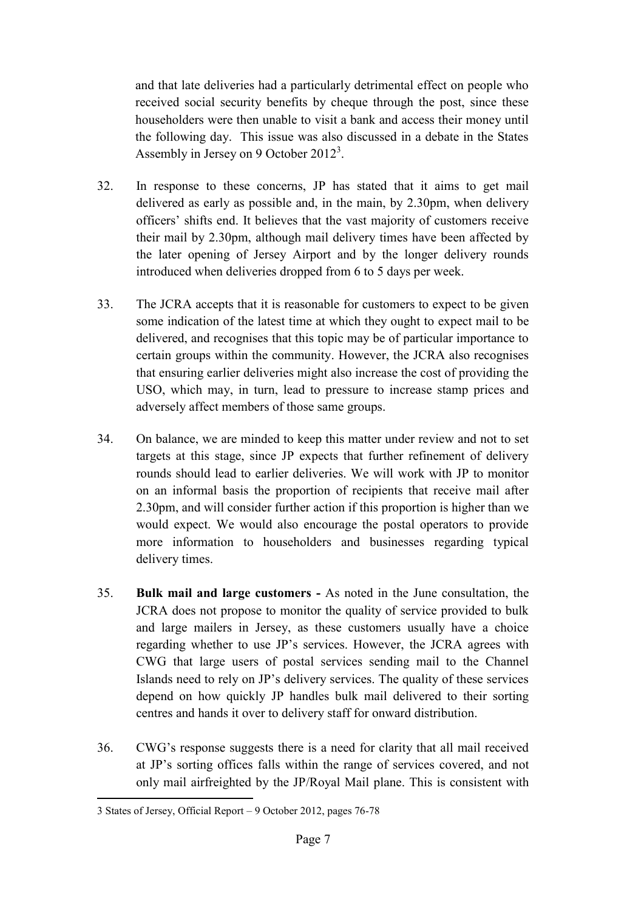and that late deliveries had a particularly detrimental effect on people who received social security benefits by cheque through the post, since these householders were then unable to visit a bank and access their money until the following day. This issue was also discussed in a debate in the States Assembly in Jersey on 9 October  $2012<sup>3</sup>$ .

- 32. In response to these concerns, JP has stated that it aims to get mail delivered as early as possible and, in the main, by 2.30pm, when delivery officers' shifts end. It believes that the vast majority of customers receive their mail by 2.30pm, although mail delivery times have been affected by the later opening of Jersey Airport and by the longer delivery rounds introduced when deliveries dropped from 6 to 5 days per week.
- 33. The JCRA accepts that it is reasonable for customers to expect to be given some indication of the latest time at which they ought to expect mail to be delivered, and recognises that this topic may be of particular importance to certain groups within the community. However, the JCRA also recognises that ensuring earlier deliveries might also increase the cost of providing the USO, which may, in turn, lead to pressure to increase stamp prices and adversely affect members of those same groups.
- 34. On balance, we are minded to keep this matter under review and not to set targets at this stage, since JP expects that further refinement of delivery rounds should lead to earlier deliveries. We will work with JP to monitor on an informal basis the proportion of recipients that receive mail after 2.30pm, and will consider further action if this proportion is higher than we would expect. We would also encourage the postal operators to provide more information to householders and businesses regarding typical delivery times.
- 35. **Bulk mail and large customers -** As noted in the June consultation, the JCRA does not propose to monitor the quality of service provided to bulk and large mailers in Jersey, as these customers usually have a choice regarding whether to use JP's services. However, the JCRA agrees with CWG that large users of postal services sending mail to the Channel Islands need to rely on JP's delivery services. The quality of these services depend on how quickly JP handles bulk mail delivered to their sorting centres and hands it over to delivery staff for onward distribution.
- 36. CWG's response suggests there is a need for clarity that all mail received at JP's sorting offices falls within the range of services covered, and not only mail airfreighted by the JP/Royal Mail plane. This is consistent with

 $\overline{a}$ 3 States of Jersey, Official Report – 9 October 2012, pages 76-78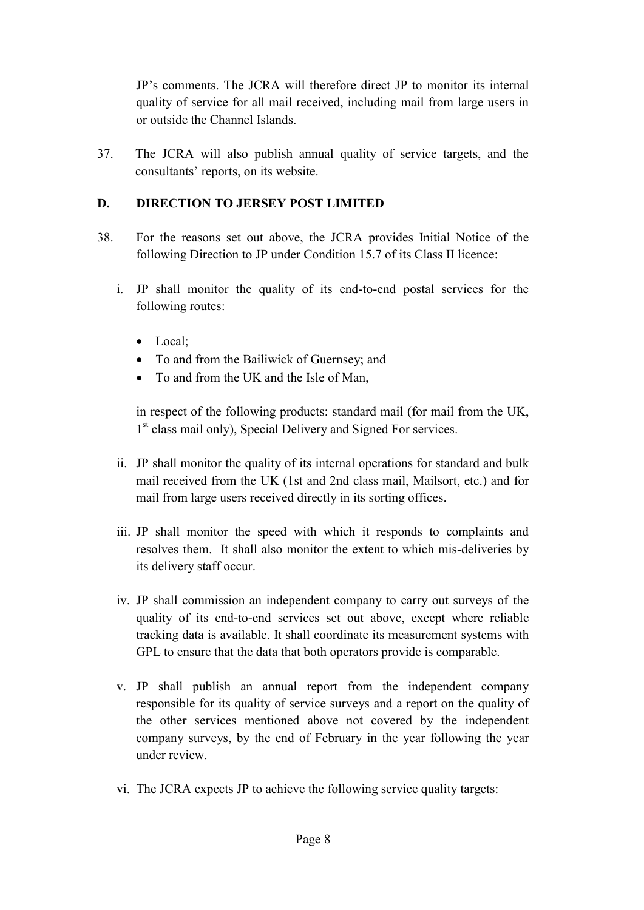JP's comments. The JCRA will therefore direct JP to monitor its internal quality of service for all mail received, including mail from large users in or outside the Channel Islands.

37. The JCRA will also publish annual quality of service targets, and the consultants' reports, on its website.

# **D. DIRECTION TO JERSEY POST LIMITED**

- 38. For the reasons set out above, the JCRA provides Initial Notice of the following Direction to JP under Condition 15.7 of its Class II licence:
	- i. JP shall monitor the quality of its end-to-end postal services for the following routes:
		- Local:
		- To and from the Bailiwick of Guernsey; and
		- To and from the UK and the Isle of Man,

in respect of the following products: standard mail (for mail from the UK, 1<sup>st</sup> class mail only), Special Delivery and Signed For services.

- ii. JP shall monitor the quality of its internal operations for standard and bulk mail received from the UK (1st and 2nd class mail, Mailsort, etc.) and for mail from large users received directly in its sorting offices.
- iii. JP shall monitor the speed with which it responds to complaints and resolves them. It shall also monitor the extent to which mis-deliveries by its delivery staff occur.
- iv. JP shall commission an independent company to carry out surveys of the quality of its end-to-end services set out above, except where reliable tracking data is available. It shall coordinate its measurement systems with GPL to ensure that the data that both operators provide is comparable.
- v. JP shall publish an annual report from the independent company responsible for its quality of service surveys and a report on the quality of the other services mentioned above not covered by the independent company surveys, by the end of February in the year following the year under review.
- vi. The JCRA expects JP to achieve the following service quality targets: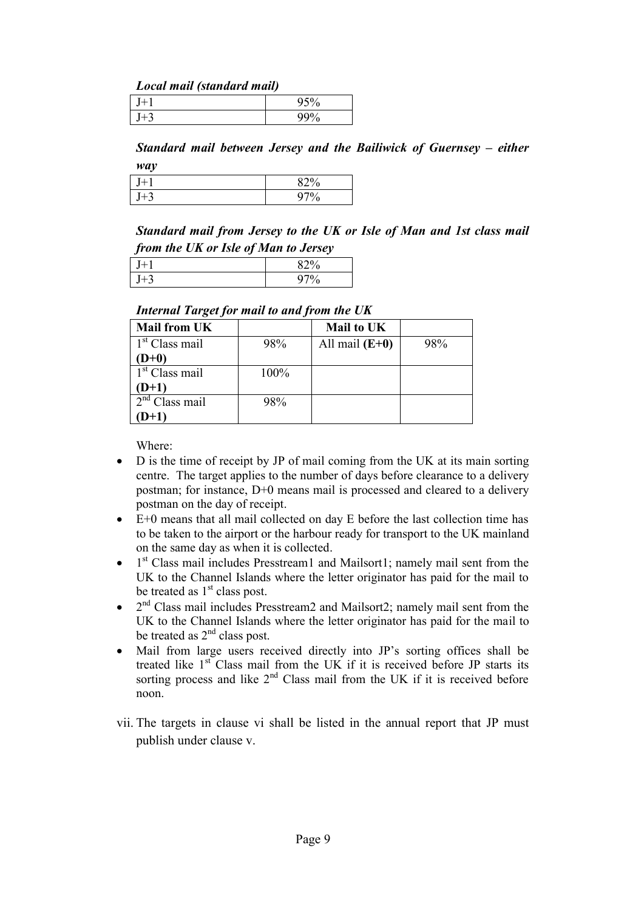#### *Local mail (standard mail)*

|        | υ |
|--------|---|
| <br>٠. | υ |

**Standard mail between Jersey and the Bailiwick of Guernsey – either** *way*

| ٠. | 0.20<br>O |
|----|-----------|
| ٠, | 0         |

*Standard mail from Jersey to the UK or Isle of Man and 1st class mail from the UK or Isle of Man to Jersey*

| $\cdot$<br>$\cdot$ |   |
|--------------------|---|
|                    |   |
|                    | u |

#### *Internal Target for mail to and from the UK*

| <b>Mail from UK</b>        |      | Mail to UK       |     |
|----------------------------|------|------------------|-----|
| $1st$ Class mail           | 98%  | All mail $(E+0)$ | 98% |
| $D+0$                      |      |                  |     |
| 1 <sup>st</sup> Class mail | 100% |                  |     |
| $(D+1)$                    |      |                  |     |
| $2nd$ Class mail           | 98%  |                  |     |
| $D+1)$                     |      |                  |     |

Where:

- D is the time of receipt by JP of mail coming from the UK at its main sorting centre. The target applies to the number of days before clearance to a delivery postman; for instance, D+0 means mail is processed and cleared to a delivery postman on the day of receipt.
- E+0 means that all mail collected on day E before the last collection time has to be taken to the airport or the harbour ready for transport to the UK mainland on the same day as when it is collected.
- $\bullet$  1<sup>st</sup> Class mail includes Presstream1 and Mailsort1; namely mail sent from the UK to the Channel Islands where the letter originator has paid for the mail to be treated as  $1<sup>st</sup>$  class post.
- $\bullet$   $2<sup>nd</sup>$  Class mail includes Presstream2 and Mailsort2; namely mail sent from the UK to the Channel Islands where the letter originator has paid for the mail to be treated as  $2<sup>nd</sup>$  class post.
- Mail from large users received directly into JP's sorting offices shall be treated like  $1<sup>st</sup>$  Class mail from the UK if it is received before JP starts its sorting process and like  $2<sup>nd</sup>$  Class mail from the UK if it is received before noon.
- vii. The targets in clause vi shall be listed in the annual report that JP must publish under clause v.